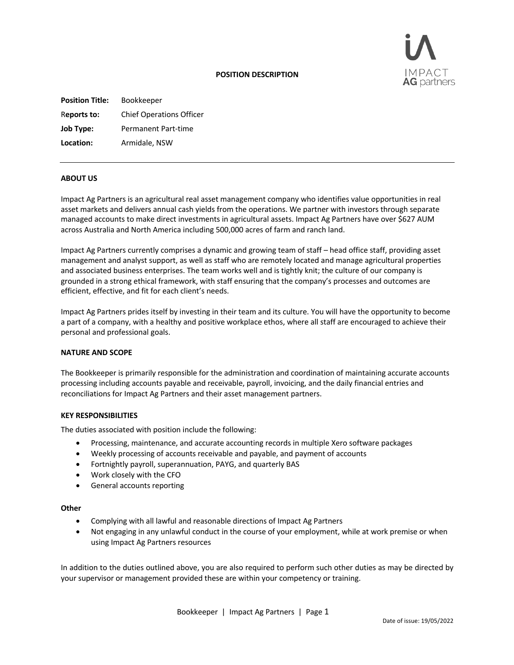

## **POSITION DESCRIPTION**

**Position Title:** Bookkeeper R**eports to:** Chief Operations Officer **Job Type:** Permanent Part-time **Location:** Armidale, NSW

### **ABOUT US**

Impact Ag Partners is an agricultural real asset management company who identifies value opportunities in real asset markets and delivers annual cash yields from the operations. We partner with investors through separate managed accounts to make direct investments in agricultural assets. Impact Ag Partners have over \$627 AUM across Australia and North America including 500,000 acres of farm and ranch land.

Impact Ag Partners currently comprises a dynamic and growing team of staff – head office staff, providing asset management and analyst support, as well as staff who are remotely located and manage agricultural properties and associated business enterprises. The team works well and is tightly knit; the culture of our company is grounded in a strong ethical framework, with staff ensuring that the company's processes and outcomes are efficient, effective, and fit for each client's needs.

Impact Ag Partners prides itself by investing in their team and its culture. You will have the opportunity to become a part of a company, with a healthy and positive workplace ethos, where all staff are encouraged to achieve their personal and professional goals.

#### **NATURE AND SCOPE**

The Bookkeeper is primarily responsible for the administration and coordination of maintaining accurate accounts processing including accounts payable and receivable, payroll, invoicing, and the daily financial entries and reconciliations for Impact Ag Partners and their asset management partners.

#### **KEY RESPONSIBILITIES**

The duties associated with position include the following:

- Processing, maintenance, and accurate accounting records in multiple Xero software packages
- Weekly processing of accounts receivable and payable, and payment of accounts
- Fortnightly payroll, superannuation, PAYG, and quarterly BAS
- Work closely with the CFO
- General accounts reporting

# **Other**

- Complying with all lawful and reasonable directions of Impact Ag Partners
- Not engaging in any unlawful conduct in the course of your employment, while at work premise or when using Impact Ag Partners resources

In addition to the duties outlined above, you are also required to perform such other duties as may be directed by your supervisor or management provided these are within your competency or training.